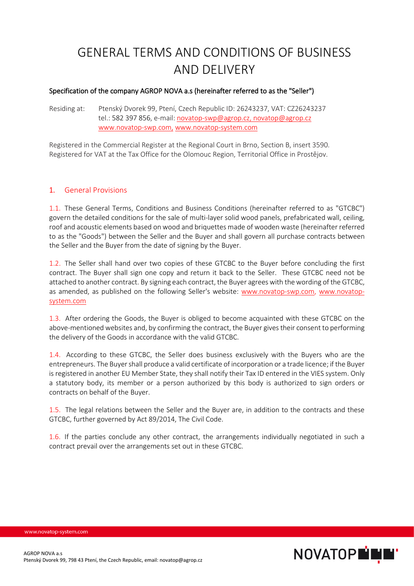# GENERAL TERMS AND CONDITIONS OF BUSINESS AND DELIVERY

#### Specification of the company AGROP NOVA a.s (hereinafter referred to as the "Seller")

Residing at: Ptenský Dvorek 99, Ptení, Czech Republic ID: 26243237, VAT: CZ26243237 tel.: 582 397 856, e-mail: [novatop-swp@agrop.cz,](mailto:novatop-swp@agrop.cz) [novatop@agrop.cz](mailto:novatop@agrop.cz) [www.novatop-swp.com,](http://www.novatop-swp.com,/) [www.novatop-system.com](http://www.novatop-system.com/)

Registered in the Commercial Register at the Regional Court in Brno, Section B, insert 3590. Registered for VAT at the Tax Office for the Olomouc Region, Territorial Office in Prostějov.

#### 1. General Provisions

1.1. These General Terms, Conditions and Business Conditions (hereinafter referred to as "GTCBC") govern the detailed conditions for the sale of multi-layer solid wood panels, prefabricated wall, ceiling, roof and acoustic elements based on wood and briquettes made of wooden waste (hereinafter referred to as the "Goods") between the Seller and the Buyer and shall govern all purchase contracts between the Seller and the Buyer from the date of signing by the Buyer.

1.2. The Seller shall hand over two copies of these GTCBC to the Buyer before concluding the first contract. The Buyer shall sign one copy and return it back to the Seller. These GTCBC need not be attached to another contract. By signing each contract, the Buyer agrees with thewording of the GTCBC, as amended, as published on the following Seller's website: [www.novatop-swp.com,](http://www.novatop-swp.com/) [www.novatop](http://www.novatop-system.com/)[system.com](http://www.novatop-system.com/)

1.3. After ordering the Goods, the Buyer is obliged to become acquainted with these GTCBC on the above-mentioned websites and, by confirming the contract, the Buyer gives their consent to performing the delivery of the Goods in accordance with the valid GTCBC.

1.4. According to these GTCBC, the Seller does business exclusively with the Buyers who are the entrepreneurs. The Buyer shall produce a valid certificate of incorporation or a trade licence; if the Buyer is registered in another EU Member State, they shall notify their Tax ID entered in the VIES system. Only a statutory body, its member or a person authorized by this body is authorized to sign orders or contracts on behalf of the Buyer.

1.5. The legal relations between the Seller and the Buyer are, in addition to the contracts and these GTCBC, further governed by Act 89/2014, The Civil Code.

1.6. If the parties conclude any other contract, the arrangements individually negotiated in such a contract prevail over the arrangements set out in these GTCBC.

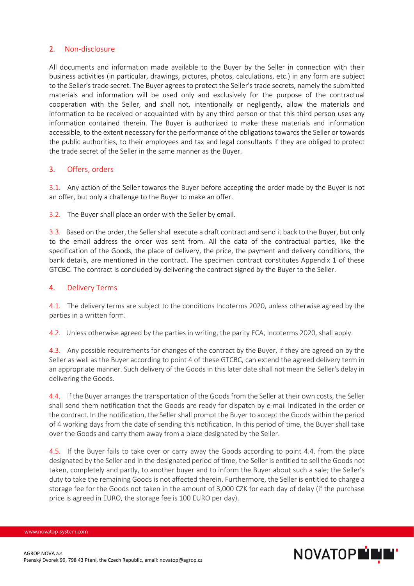## 2. Non-disclosure

All documents and information made available to the Buyer by the Seller in connection with their business activities (in particular, drawings, pictures, photos, calculations, etc.) in any form are subject to the Seller's trade secret. The Buyer agrees to protect the Seller's trade secrets, namely the submitted materials and information will be used only and exclusively for the purpose of the contractual cooperation with the Seller, and shall not, intentionally or negligently, allow the materials and information to be received or acquainted with by any third person or that this third person uses any information contained therein. The Buyer is authorized to make these materials and information accessible, to the extent necessary for the performance of the obligations towards the Seller or towards the public authorities, to their employees and tax and legal consultants if they are obliged to protect the trade secret of the Seller in the same manner as the Buyer.

## 3. Offers, orders

3.1. Any action of the Seller towards the Buyer before accepting the order made by the Buyer is not an offer, but only a challenge to the Buyer to make an offer.

3.2. The Buyer shall place an order with the Seller by email.

3.3. Based on the order, the Seller shall execute a draft contract and send it back to the Buyer, but only to the email address the order was sent from. All the data of the contractual parties, like the specification of the Goods, the place of delivery, the price, the payment and delivery conditions, the bank details, are mentioned in the contract. The specimen contract constitutes Appendix 1 of these GTCBC. The contract is concluded by delivering the contract signed by the Buyer to the Seller.

## 4. Delivery Terms

4.1. The delivery terms are subject to the conditions Incoterms 2020, unless otherwise agreed by the parties in a written form.

4.2. Unless otherwise agreed by the parties in writing, the parity FCA, Incoterms 2020, shall apply.

4.3. Any possible requirements for changes of the contract by the Buyer, if they are agreed on by the Seller as well as the Buyer according to point 4 of these GTCBC, can extend the agreed delivery term in an appropriate manner. Such delivery of the Goods in this later date shall not mean the Seller's delay in delivering the Goods.

4.4. If the Buyer arranges the transportation of the Goods from the Seller at their own costs, the Seller shall send them notification that the Goods are ready for dispatch by e-mail indicated in the order or the contract. In the notification, the Seller shall prompt the Buyer to accept the Goods within the period of 4 working days from the date of sending this notification. In this period of time, the Buyer shall take over the Goods and carry them away from a place designated by the Seller.

4.5. If the Buyer fails to take over or carry away the Goods according to point 4.4. from the place designated by the Seller and in the designated period of time, the Seller is entitled to sell the Goods not taken, completely and partly, to another buyer and to inform the Buyer about such a sale; the Seller's duty to take the remaining Goods is not affected therein. Furthermore, the Seller is entitled to charge a storage fee for the Goods not taken in the amount of 3,000 CZK for each day of delay (if the purchase price is agreed in EURO, the storage fee is 100 EURO per day).

AGROP NOVA a.s



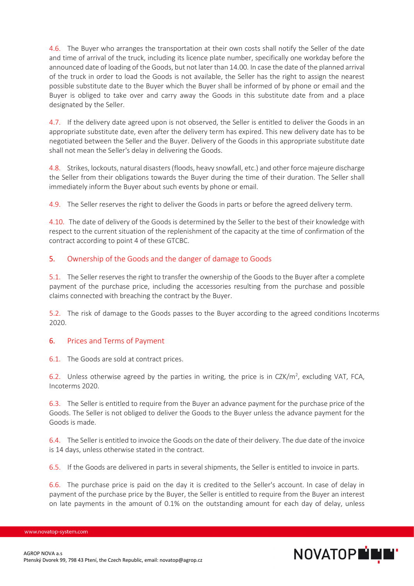4.6. The Buyer who arranges the transportation at their own costs shall notify the Seller of the date and time of arrival of the truck, including its licence plate number, specifically one workday before the announced date of loading of the Goods, but not later than 14.00. In case the date of the planned arrival of the truck in order to load the Goods is not available, the Seller has the right to assign the nearest possible substitute date to the Buyer which the Buyer shall be informed of by phone or email and the Buyer is obliged to take over and carry away the Goods in this substitute date from and a place designated by the Seller.

4.7. If the delivery date agreed upon is not observed, the Seller is entitled to deliver the Goods in an appropriate substitute date, even after the delivery term has expired. This new delivery date has to be negotiated between the Seller and the Buyer. Delivery of the Goods in this appropriate substitute date shall not mean the Seller's delay in delivering the Goods.

4.8. Strikes, lockouts, natural disasters(floods, heavy snowfall, etc.) and other force majeure discharge the Seller from their obligations towards the Buyer during the time of their duration. The Seller shall immediately inform the Buyer about such events by phone or email.

4.9. The Seller reserves the right to deliver the Goods in parts or before the agreed delivery term.

4.10. The date of delivery of the Goods is determined by the Seller to the best of their knowledge with respect to the current situation of the replenishment of the capacity at the time of confirmation of the contract according to point 4 of these GTCBC.

## 5. Ownership of the Goods and the danger of damage to Goods

5.1. The Seller reserves the right to transfer the ownership of the Goods to the Buyer after a complete payment of the purchase price, including the accessories resulting from the purchase and possible claims connected with breaching the contract by the Buyer.

5.2. The risk of damage to the Goods passes to the Buyer according to the agreed conditions Incoterms 2020.

## 6. Prices and Terms of Payment

6.1. The Goods are sold at contract prices.

6.2. Unless otherwise agreed by the parties in writing, the price is in CZK/m<sup>2</sup>, excluding VAT, FCA, Incoterms 2020.

6.3. The Seller is entitled to require from the Buyer an advance payment for the purchase price of the Goods. The Seller is not obliged to deliver the Goods to the Buyer unless the advance payment for the Goods is made.

6.4. The Seller is entitled to invoice the Goods on the date of their delivery. The due date of the invoice is 14 days, unless otherwise stated in the contract.

6.5. If the Goods are delivered in parts in several shipments, the Seller is entitled to invoice in parts.

6.6. The purchase price is paid on the day it is credited to the Seller's account. In case of delay in payment of the purchase price by the Buyer, the Seller is entitled to require from the Buyer an interest on late payments in the amount of 0.1% on the outstanding amount for each day of delay, unless

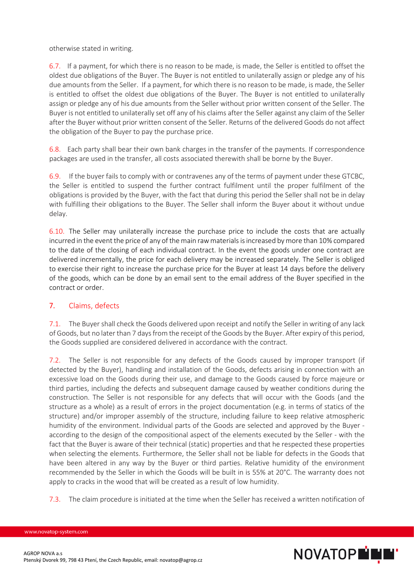otherwise stated in writing.

6.7. If a payment, for which there is no reason to be made, is made, the Seller is entitled to offset the oldest due obligations of the Buyer. The Buyer is not entitled to unilaterally assign or pledge any of his due amounts from the Seller. If a payment, for which there is no reason to be made, is made, the Seller is entitled to offset the oldest due obligations of the Buyer. The Buyer is not entitled to unilaterally assign or pledge any of his due amounts from the Seller without prior written consent of the Seller. The Buyer is not entitled to unilaterally set off any of his claims after the Seller against any claim of the Seller after the Buyer without prior written consent of the Seller. Returns of the delivered Goods do not affect the obligation of the Buyer to pay the purchase price.

6.8. Each party shall bear their own bank charges in the transfer of the payments. If correspondence packages are used in the transfer, all costs associated therewith shall be borne by the Buyer.

6.9. If the buyer fails to comply with or contravenes any of the terms of payment under these GTCBC, the Seller is entitled to suspend the further contract fulfilment until the proper fulfilment of the obligations is provided by the Buyer, with the fact that during this period the Seller shall not be in delay with fulfilling their obligations to the Buyer. The Seller shall inform the Buyer about it without undue delay.

6.10. The Seller may unilaterally increase the purchase price to include the costs that are actually incurred in the event the price of any of the main raw materials is increased by more than 10% compared to the date of the closing of each individual contract. In the event the goods under one contract are delivered incrementally, the price for each delivery may be increased separately. The Seller is obliged to exercise their right to increase the purchase price for the Buyer at least 14 days before the delivery of the goods, which can be done by an email sent to the email address of the Buyer specified in the contract or order.

## 7. Claims, defects

7.1. The Buyer shall check the Goods delivered upon receipt and notify the Seller in writing of any lack of Goods, but no later than 7 daysfrom the receipt of the Goods by the Buyer. After expiry of this period, the Goods supplied are considered delivered in accordance with the contract.

7.2. The Seller is not responsible for any defects of the Goods caused by improper transport (if detected by the Buyer), handling and installation of the Goods, defects arising in connection with an excessive load on the Goods during their use, and damage to the Goods caused by force majeure or third parties, including the defects and subsequent damage caused by weather conditions during the construction. The Seller is not responsible for any defects that will occur with the Goods (and the structure as a whole) as a result of errors in the project documentation (e.g. in terms of statics of the structure) and/or improper assembly of the structure, including failure to keep relative atmospheric humidity of the environment. Individual parts of the Goods are selected and approved by the Buyer according to the design of the compositional aspect of the elements executed by the Seller - with the fact that the Buyer is aware of their technical (static) properties and that he respected these properties when selecting the elements. Furthermore, the Seller shall not be liable for defects in the Goods that have been altered in any way by the Buyer or third parties. Relative humidity of the environment recommended by the Seller in which the Goods will be built in is 55% at 20°C. The warranty does not apply to cracks in the wood that will be created as a result of low humidity.

7.3. The claim procedure is initiated at the time when the Seller has received a written notification of



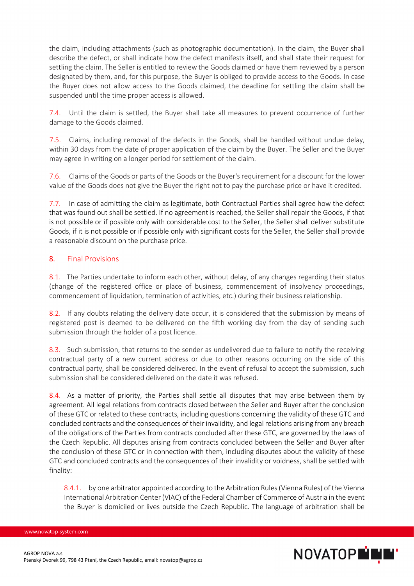the claim, including attachments (such as photographic documentation). In the claim, the Buyer shall describe the defect, or shall indicate how the defect manifests itself, and shall state their request for settling the claim. The Seller is entitled to review the Goods claimed or have them reviewed by a person designated by them, and, for this purpose, the Buyer is obliged to provide access to the Goods. In case the Buyer does not allow access to the Goods claimed, the deadline for settling the claim shall be suspended until the time proper access is allowed.

7.4. Until the claim is settled, the Buyer shall take all measures to prevent occurrence of further damage to the Goods claimed.

7.5. Claims, including removal of the defects in the Goods, shall be handled without undue delay, within 30 days from the date of proper application of the claim by the Buyer. The Seller and the Buyer may agree in writing on a longer period for settlement of the claim.

7.6. Claims of the Goods or parts of the Goods or the Buyer's requirement for a discount for the lower value of the Goods does not give the Buyer the right not to pay the purchase price or have it credited.

7.7. In case of admitting the claim as legitimate, both Contractual Parties shall agree how the defect that was found out shall be settled. If no agreement is reached, the Seller shall repair the Goods, if that is not possible or if possible only with considerable cost to the Seller, the Seller shall deliver substitute Goods, if it is not possible or if possible only with significant costs for the Seller, the Seller shall provide a reasonable discount on the purchase price.

## 8. Final Provisions

8.1. The Parties undertake to inform each other, without delay, of any changes regarding their status (change of the registered office or place of business, commencement of insolvency proceedings, commencement of liquidation, termination of activities, etc.) during their business relationship.

8.2. If any doubts relating the delivery date occur, it is considered that the submission by means of registered post is deemed to be delivered on the fifth working day from the day of sending such submission through the holder of a post licence.

8.3. Such submission, that returns to the sender as undelivered due to failure to notify the receiving contractual party of a new current address or due to other reasons occurring on the side of this contractual party, shall be considered delivered. In the event of refusal to accept the submission, such submission shall be considered delivered on the date it was refused.

8.4. As a matter of priority, the Parties shall settle all disputes that may arise between them by agreement. All legal relations from contracts closed between the Seller and Buyer after the conclusion of these GTC or related to these contracts, including questions concerning the validity of these GTC and concluded contracts and the consequences of their invalidity, and legal relations arising from any breach of the obligations of the Parties from contracts concluded after these GTC, are governed by the laws of the Czech Republic. All disputes arising from contracts concluded between the Seller and Buyer after the conclusion of these GTC or in connection with them, including disputes about the validity of these GTC and concluded contracts and the consequences of their invalidity or voidness, shall be settled with finality:

8.4.1. by one arbitrator appointed according to the Arbitration Rules (Vienna Rules) of the Vienna International Arbitration Center (VIAC) of the Federal Chamber of Commerce of Austria in the event the Buyer is domiciled or lives outside the Czech Republic. The language of arbitration shall be